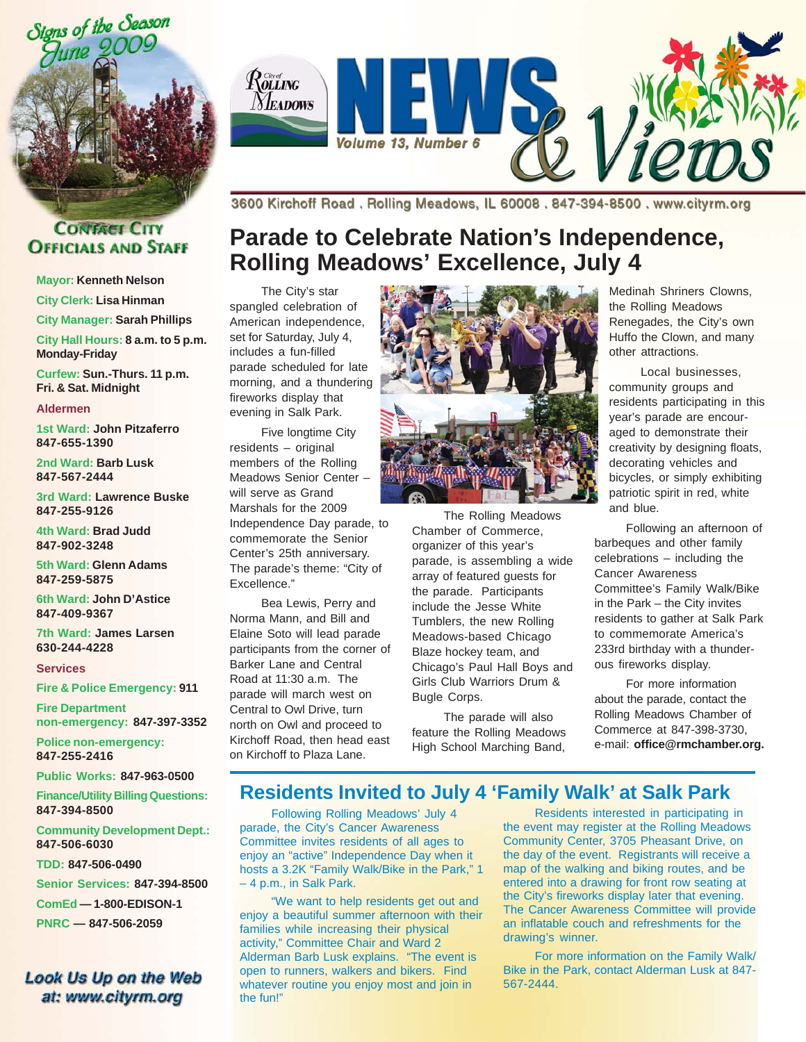



#### **CONTACT CITY OFFICIALS AND STAFF**

**Mayor: Kenneth Nelson**

**City Clerk: Lisa Hinman**

**City Manager: Sarah Phillips**

**City Hall Hours: 8 a.m. to 5 p.m. Monday-Friday**

**Curfew: Sun.-Thurs. 11 p.m. Fri. & Sat. Midnight**

**Aldermen**

**1st Ward: John Pitzaferro 847-655-1390**

**2nd Ward: Barb Lusk 847-567-2444**

**3rd Ward: Lawrence Buske 847-255-9126**

**4th Ward: Brad Judd 847-902-3248**

**5th Ward: Glenn Adams 847-259-5875**

**6th Ward: John D'Astice 847-409-9367**

**7th Ward: James Larsen 630-244-4228**

**Services**

**Fire & Police Emergency: 911**

**Fire Department non-emergency: 847-397-3352**

**Police non-emergency: 847-255-2416**

**Public Works: 847-963-0500**

**Finance/Utility BillingQuestions: 847-394-8500**

**Community Development Dept.: 847-506-6030**

**TDD: 847-506-0490**

**Senior Services: 847-394-8500**

**ComEd — 1-800-EDISON-1**

**PNRC — 847-506-2059**

#### Look Us Up on the Web at: www.cityrm.org

3600 Kirchoff Road. Rolling Meadows, IL 60008. 847-394-8500. www.cityrm.org

# **Parade to Celebrate Nation's Independence, Rolling Meadows' Excellence, July 4**

The City's star spangled celebration of American independence, set for Saturday, July 4, includes a fun-filled parade scheduled for late morning, and a thundering fireworks display that evening in Salk Park.

Five longtime City residents – original members of the Rolling Meadows Senior Center – will serve as Grand Marshals for the 2009 Independence Day parade, to commemorate the Senior Center's 25th anniversary. The parade's theme: "City of Excellence."

Bea Lewis, Perry and Norma Mann, and Bill and Elaine Soto will lead parade participants from the corner of Barker Lane and Central Road at 11:30 a.m. The parade will march west on Central to Owl Drive, turn north on Owl and proceed to Kirchoff Road, then head east on Kirchoff to Plaza Lane.



The Rolling Meadows Chamber of Commerce, organizer of this year's parade, is assembling a wide array of featured guests for the parade. Participants include the Jesse White Tumblers, the new Rolling Meadows-based Chicago Blaze hockey team, and Chicago's Paul Hall Boys and Girls Club Warriors Drum & Bugle Corps.

The parade will also feature the Rolling Meadows High School Marching Band,

Medinah Shriners Clowns, the Rolling Meadows Renegades, the City's own Huffo the Clown, and many other attractions.

Local businesses, community groups and residents participating in this year's parade are encouraged to demonstrate their creativity by designing floats, decorating vehicles and bicycles, or simply exhibiting patriotic spirit in red, white and blue.

Following an afternoon of barbeques and other family celebrations – including the Cancer Awareness Committee's Family Walk/Bike in the Park – the City invites residents to gather at Salk Park to commemorate America's 233rd birthday with a thunderous fireworks display.

For more information about the parade, contact the Rolling Meadows Chamber of Commerce at 847-398-3730, e-mail: **office@rmchamber.org.**

### **Residents Invited to July 4 'Family Walk' at Salk Park**

Following Rolling Meadows' July 4 parade, the City's Cancer Awareness Committee invites residents of all ages to enjoy an "active" Independence Day when it hosts a 3.2K "Family Walk/Bike in the Park," 1 – 4 p.m., in Salk Park.

"We want to help residents get out and enjoy a beautiful summer afternoon with their families while increasing their physical activity," Committee Chair and Ward 2 Alderman Barb Lusk explains. "The event is open to runners, walkers and bikers. Find whatever routine you enjoy most and join in the fun!"

Residents interested in participating in the event may register at the Rolling Meadows Community Center, 3705 Pheasant Drive, on the day of the event. Registrants will receive a map of the walking and biking routes, and be entered into a drawing for front row seating at the City's fireworks display later that evening. The Cancer Awareness Committee will provide an inflatable couch and refreshments for the drawing's winner.

For more information on the Family Walk/ Bike in the Park, contact Alderman Lusk at 847- 567-2444.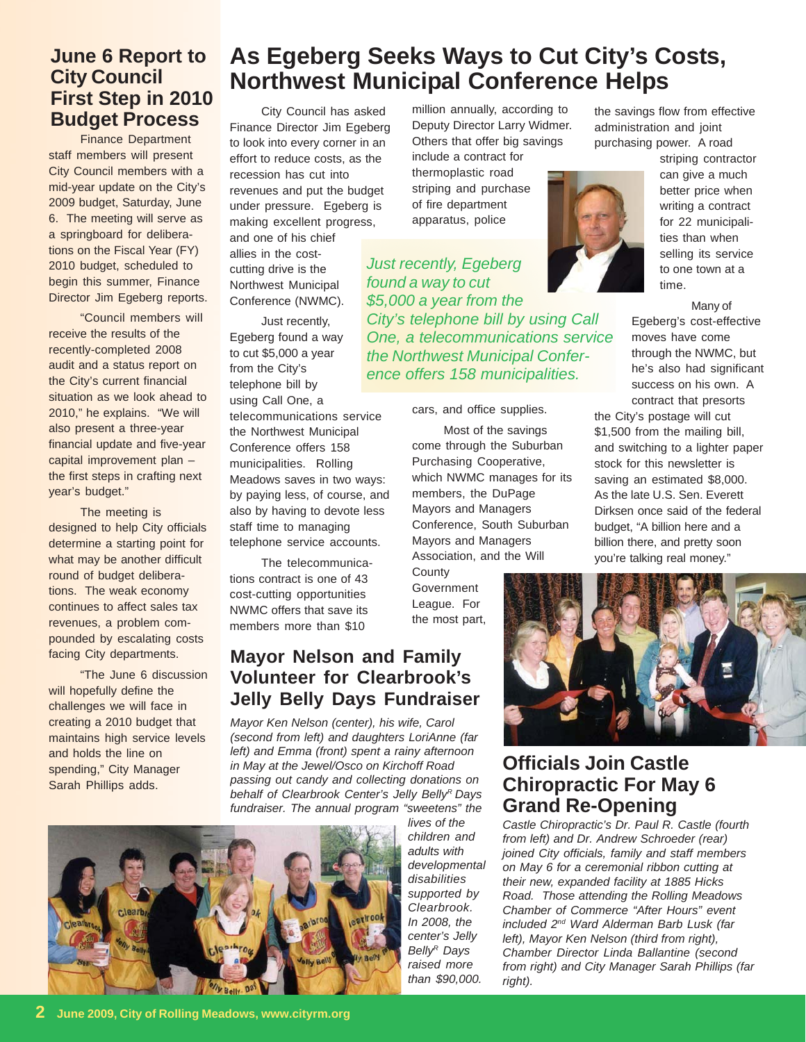# **June 6 Report to City Council First Step in 2010**

Finance Department staff members will present City Council members with a mid-year update on the City's 2009 budget, Saturday, June 6. The meeting will serve as a springboard for deliberations on the Fiscal Year (FY) 2010 budget, scheduled to begin this summer, Finance Director Jim Egeberg reports.

"Council members will receive the results of the recently-completed 2008 audit and a status report on the City's current financial situation as we look ahead to 2010," he explains. "We will also present a three-year financial update and five-year capital improvement plan – the first steps in crafting next year's budget."

The meeting is designed to help City officials determine a starting point for what may be another difficult round of budget deliberations. The weak economy continues to affect sales tax revenues, a problem compounded by escalating costs facing City departments.

"The June 6 discussion will hopefully define the challenges we will face in creating a 2010 budget that maintains high service levels and holds the line on spending," City Manager Sarah Phillips adds.

# **As Egeberg Seeks Ways to Cut City's Costs, Northwest Municipal Conference Helps**

City Council has asked Finance Director Jim Egeberg to look into every corner in an effort to reduce costs, as the recession has cut into revenues and put the budget under pressure. Egeberg is making excellent progress, and one of his chief allies in the costcutting drive is the Northwest Municipal Conference (NWMC). **Budget Process** City Council has asked million annually, according to the savings flow from effective City Council has asked million annually, according to the savings flow from effective *Just recently, Egeberg*

Just recently, Egeberg found a way to cut \$5,000 a year from the City's telephone bill by using Call One, a

telecommunications service the Northwest Municipal Conference offers 158 municipalities. Rolling Meadows saves in two ways: by paying less, of course, and also by having to devote less staff time to managing telephone service accounts.

The telecommunications contract is one of 43 cost-cutting opportunities NWMC offers that save its members more than \$10

### **Mayor Nelson and Family Volunteer for Clearbrook's Jelly Belly Days Fundraiser**

*Mayor Ken Nelson (center), his wife, Carol (second from left) and daughters LoriAnne (far left) and Emma (front) spent a rainy afternoon in May at the Jewel/Osco on Kirchoff Road passing out candy and collecting donations on* behalf of Clearbrook Center's Jelly Belly<sup>R</sup> Days *fundraiser. The annual program "sweetens" the*



million annually, according to Deputy Director Larry Widmer. Others that offer big savings include a contract for thermoplastic road striping and purchase of fire department apparatus, police

*found a way to cut \$5,000 a year from the City's telephone bill by using Call One, a telecommunications service the Northwest Municipal Conference offers 158 municipalities.*

cars, and office supplies.

Most of the savings come through the Suburban Purchasing Cooperative, which NWMC manages for its members, the DuPage Mayors and Managers Conference, South Suburban Mayors and Managers Association, and the Will

**County** Government League. For the most part, administration and joint purchasing power. A road



striping contractor can give a much better price when writing a contract for 22 municipalities than when selling its service to one town at a time.

Many of

Egeberg's cost-effective moves have come through the NWMC, but he's also had significant success on his own. A contract that presorts

the City's postage will cut \$1,500 from the mailing bill, and switching to a lighter paper stock for this newsletter is saving an estimated \$8,000. As the late U.S. Sen. Everett Dirksen once said of the federal budget, "A billion here and a billion there, and pretty soon you're talking real money."



### **Officials Join Castle Chiropractic For May 6 Grand Re-Opening**

*Castle Chiropractic's Dr. Paul R. Castle (fourth from left) and Dr. Andrew Schroeder (rear) joined City officials, family and staff members on May 6 for a ceremonial ribbon cutting at their new, expanded facility at 1885 Hicks Road. Those attending the Rolling Meadows Chamber of Commerce "After Hours" event included 2nd Ward Alderman Barb Lusk (far left), Mayor Ken Nelson (third from right), Chamber Director Linda Ballantine (second from right) and City Manager Sarah Phillips (far right).*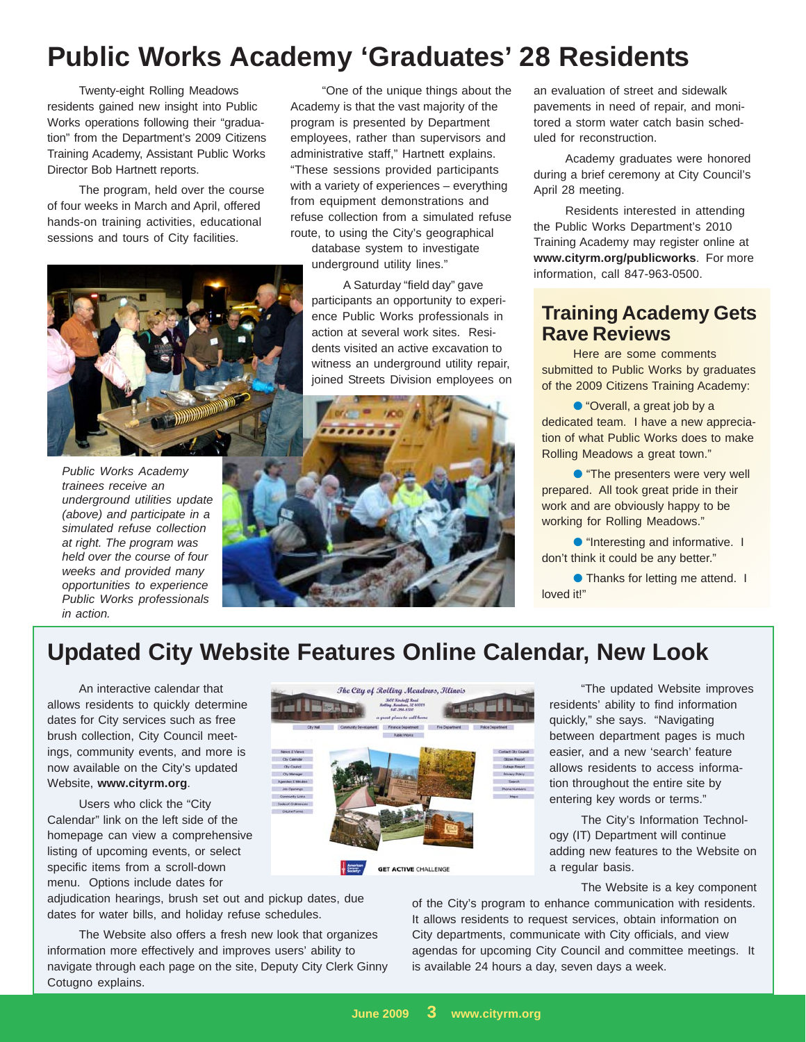# **Public Works Academy 'Graduates' 28 Residents**

Twenty-eight Rolling Meadows residents gained new insight into Public Works operations following their "graduation" from the Department's 2009 Citizens Training Academy, Assistant Public Works Director Bob Hartnett reports.

The program, held over the course of four weeks in March and April, offered hands-on training activities, educational sessions and tours of City facilities.

"One of the unique things about the Academy is that the vast majority of the program is presented by Department employees, rather than supervisors and administrative staff," Hartnett explains. "These sessions provided participants with a variety of experiences – everything from equipment demonstrations and refuse collection from a simulated refuse route, to using the City's geographical

database system to investigate underground utility lines."

A Saturday "field day" gave participants an opportunity to experience Public Works professionals in action at several work sites. Residents visited an active excavation to witness an underground utility repair, joined Streets Division employees on



an evaluation of street and sidewalk pavements in need of repair, and monitored a storm water catch basin scheduled for reconstruction.

Academy graduates were honored during a brief ceremony at City Council's April 28 meeting.

Residents interested in attending the Public Works Department's 2010 Training Academy may register online at **www.cityrm.org/publicworks**. For more information, call 847-963-0500.

## **Training Academy Gets Rave Reviews**

Here are some comments submitted to Public Works by graduates of the 2009 Citizens Training Academy:

● "Overall, a great job by a dedicated team. I have a new appreciation of what Public Works does to make Rolling Meadows a great town."

● "The presenters were very well prepared. All took great pride in their work and are obviously happy to be working for Rolling Meadows."

● "Interesting and informative. I don't think it could be any better."

● Thanks for letting me attend. Ⅰ loved it!"

# **Updated City Website Features Online Calendar, New Look**

An interactive calendar that allows residents to quickly determine dates for City services such as free brush collection, City Council meetings, community events, and more is now available on the City's updated Website, **www.cityrm.org**.

Users who click the "City Calendar" link on the left side of the homepage can view a comprehensive listing of upcoming events, or select specific items from a scroll-down menu. Options include dates for

adjudication hearings, brush set out and pickup dates, due dates for water bills, and holiday refuse schedules.

The Website also offers a fresh new look that organizes information more effectively and improves users' ability to navigate through each page on the site, Deputy City Clerk Ginny Cotugno explains.



"The updated Website improves residents' ability to find information quickly," she says. "Navigating between department pages is much easier, and a new 'search' feature allows residents to access information throughout the entire site by entering key words or terms."

The City's Information Technology (IT) Department will continue adding new features to the Website on a regular basis.

The Website is a key component

of the City's program to enhance communication with residents. It allows residents to request services, obtain information on City departments, communicate with City officials, and view agendas for upcoming City Council and committee meetings. It is available 24 hours a day, seven days a week.



*Public Works Academy trainees receive an underground utilities update (above) and participate in a simulated refuse collection at right. The program was held over the course of four weeks and provided many opportunities to experience Public Works professionals in action.*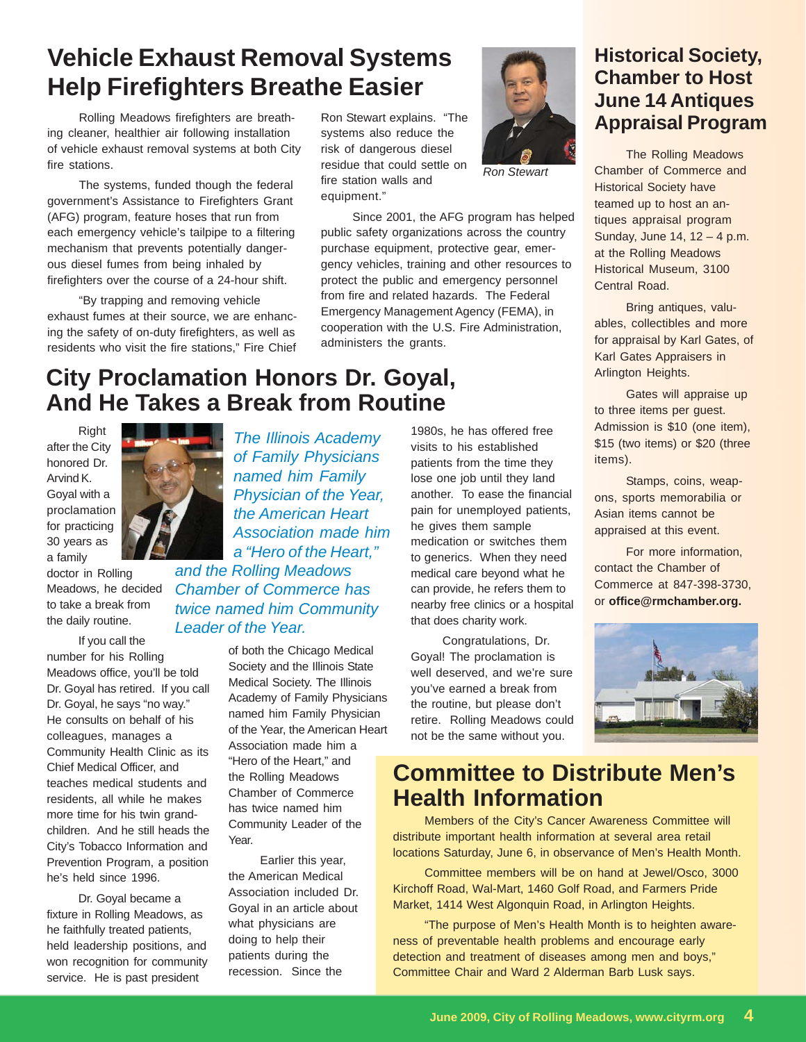# **Vehicle Exhaust Removal Systems Chrabot! Help Firefighters Breathe Easier**

Rolling Meadows firefighters are breathing cleaner, healthier air following installation of vehicle exhaust removal systems at both City fire stations.

The systems, funded though the federal government's Assistance to Firefighters Grant (AFG) program, feature hoses that run from each emergency vehicle's tailpipe to a filtering mechanism that prevents potentially dangerous diesel fumes from being inhaled by firefighters over the course of a 24-hour shift.

"By trapping and removing vehicle exhaust fumes at their source, we are enhancing the safety of on-duty firefighters, as well as residents who visit the fire stations," Fire Chief

Ron Stewart explains. "The systems also reduce the risk of dangerous diesel residue that could settle on fire station walls and equipment."



*Ron Stewart*

Since 2001, the AFG program has helped public safety organizations across the country purchase equipment, protective gear, emergency vehicles, training and other resources to protect the public and emergency personnel from fire and related hazards. The Federal Emergency Management Agency (FEMA), in cooperation with the U.S. Fire Administration, administers the grants.

# **City Proclamation Honors Dr. Goyal, And He Takes a Break from Routine**

**Right** after the City honored Dr. Arvind K. Goyal with a proclamation for practicing 30 years as a family



If you call the number for his Rolling Meadows office, you'll be told Dr. Goyal has retired. If you call Dr. Goyal, he says "no way." He consults on behalf of his colleagues, manages a Community Health Clinic as its Chief Medical Officer, and teaches medical students and residents, all while he makes more time for his twin grandchildren. And he still heads the City's Tobacco Information and Prevention Program, a position he's held since 1996.

Dr. Goyal became a fixture in Rolling Meadows, as he faithfully treated patients, held leadership positions, and won recognition for community service. He is past president

*The Illinois Academy of Family Physicians named him Family Physician of the Year, the American Heart Association made him a "Hero of the Heart," and the Rolling Meadows Chamber of Commerce has twice named him Community*

#### *Leader of the Year.*

of both the Chicago Medical Society and the Illinois State Medical Society. The Illinois Academy of Family Physicians named him Family Physician of the Year, the American Heart Association made him a "Hero of the Heart," and the Rolling Meadows Chamber of Commerce has twice named him Community Leader of the Year.

Earlier this year, the American Medical Association included Dr. Goyal in an article about what physicians are doing to help their patients during the recession. Since the

1980s, he has offered free visits to his established patients from the time they lose one job until they land another. To ease the financial pain for unemployed patients, he gives them sample medication or switches them to generics. When they need medical care beyond what he can provide, he refers them to nearby free clinics or a hospital that does charity work.

Congratulations, Dr. Goyal! The proclamation is well deserved, and we're sure you've earned a break from the routine, but please don't retire. Rolling Meadows could not be the same without you.

## **Historical Society, Chamber to Host June 14 Antiques Appraisal Program**

The Rolling Meadows Chamber of Commerce and Historical Society have teamed up to host an antiques appraisal program Sunday, June 14, 12 – 4 p.m. at the Rolling Meadows Historical Museum, 3100 Central Road.

Bring antiques, valuables, collectibles and more for appraisal by Karl Gates, of Karl Gates Appraisers in Arlington Heights.

Gates will appraise up to three items per guest. Admission is \$10 (one item), \$15 (two items) or \$20 (three items).

Stamps, coins, weapons, sports memorabilia or Asian items cannot be appraised at this event.

For more information, contact the Chamber of Commerce at 847-398-3730, or **office@rmchamber.org.**



## **Committee to Distribute Men's Health Information**

Members of the City's Cancer Awareness Committee will distribute important health information at several area retail locations Saturday, June 6, in observance of Men's Health Month.

Committee members will be on hand at Jewel/Osco, 3000 Kirchoff Road, Wal-Mart, 1460 Golf Road, and Farmers Pride Market, 1414 West Algonquin Road, in Arlington Heights.

"The purpose of Men's Health Month is to heighten awareness of preventable health problems and encourage early detection and treatment of diseases among men and boys," Committee Chair and Ward 2 Alderman Barb Lusk says.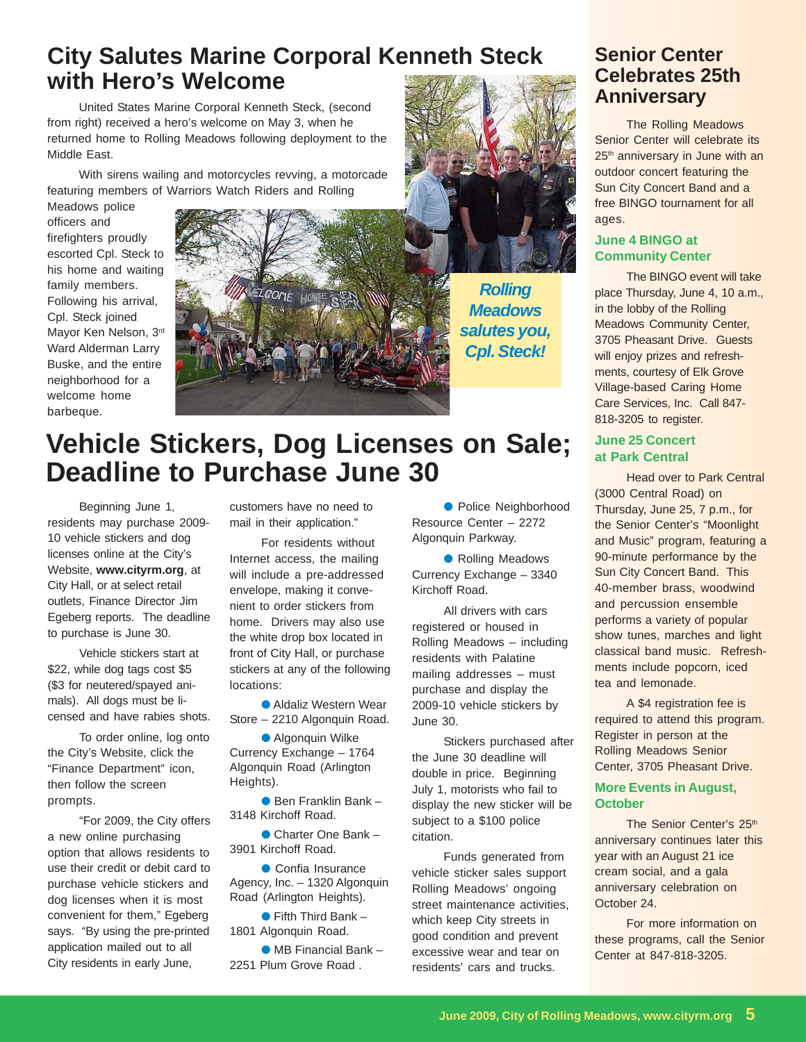# **City Salutes Marine Corporal Kenneth Steck with Hero's Welcome**

United States Marine Corporal Kenneth Steck, (second from right) received a hero's welcome on May 3, when he returned home to Rolling Meadows following deployment to the Middle East.

With sirens wailing and motorcycles revving, a motorcade featuring members of Warriors Watch Riders and Rolling

Meadows police officers and firefighters proudly escorted Cpl. Steck to his home and waiting family members. Following his arrival, Cpl. Steck joined Mayor Ken Nelson, 3rd Ward Alderman Larry Buske, and the entire neighborhood for a welcome home barbeque.





*Rolling Meadows salutes you, Cpl. Steck!*

### **Senior Center Celebrates 25th Anniversary**

The Rolling Meadows Senior Center will celebrate its 25<sup>th</sup> anniversary in June with an outdoor concert featuring the Sun City Concert Band and a free BINGO tournament for all ages.

#### **June 4 BINGO at Community Center**

The BINGO event will take place Thursday, June 4, 10 a.m., in the lobby of the Rolling Meadows Community Center, 3705 Pheasant Drive. Guests will enjoy prizes and refreshments, courtesy of Elk Grove Village-based Caring Home Care Services, Inc. Call 847- 818-3205 to register.

#### **June 25 Concert at Park Central**

Head over to Park Central (3000 Central Road) on Thursday, June 25, 7 p.m., for the Senior Center's "Moonlight and Music" program, featuring a 90-minute performance by the Sun City Concert Band. This 40-member brass, woodwind and percussion ensemble performs a variety of popular show tunes, marches and light classical band music. Refreshments include popcorn, iced tea and lemonade.

A \$4 registration fee is required to attend this program. Register in person at the Rolling Meadows Senior Center, 3705 Pheasant Drive.

#### **More Events in August, October**

The Senior Center's 25<sup>th</sup> anniversary continues later this year with an August 21 ice cream social, and a gala anniversary celebration on October 24.

For more information on these programs, call the Senior Center at 847-818-3205.

# **Vehicle Stickers, Dog Licenses on Sale; Deadline to Purchase June 30**

Beginning June 1, residents may purchase 2009- 10 vehicle stickers and dog licenses online at the City's Website, **www.cityrm.org**, at City Hall, or at select retail outlets, Finance Director Jim Egeberg reports. The deadline to purchase is June 30.

Vehicle stickers start at \$22, while dog tags cost \$5 (\$3 for neutered/spayed animals). All dogs must be licensed and have rabies shots.

To order online, log onto the City's Website, click the "Finance Department" icon, then follow the screen prompts.

"For 2009, the City offers a new online purchasing option that allows residents to use their credit or debit card to purchase vehicle stickers and dog licenses when it is most convenient for them," Egeberg says. "By using the pre-printed application mailed out to all City residents in early June,

customers have no need to mail in their application."

For residents without Internet access, the mailing will include a pre-addressed envelope, making it convenient to order stickers from home. Drivers may also use the white drop box located in front of City Hall, or purchase stickers at any of the following locations:

● Aldaliz Western Wear Store – 2210 Algonquin Road.

● Algonquin Wilke Currency Exchange – 1764 Algonquin Road (Arlington Heights).

● Ben Franklin Bank – 3148 Kirchoff Road.

● Charter One Bank – 3901 Kirchoff Road.

● Confia Insurance Agency, Inc. – 1320 Algonquin Road (Arlington Heights).

 $\bullet$  Fifth Third Bank -1801 Algonquin Road.

● MB Financial Bank – 2251 Plum Grove Road .

● Police Neighborhood Resource Center – 2272 Algonquin Parkway.

● Rolling Meadows Currency Exchange – 3340 Kirchoff Road.

All drivers with cars registered or housed in Rolling Meadows – including residents with Palatine mailing addresses – must purchase and display the 2009-10 vehicle stickers by June 30.

Stickers purchased after the June 30 deadline will double in price. Beginning July 1, motorists who fail to display the new sticker will be subject to a \$100 police citation.

Funds generated from vehicle sticker sales support Rolling Meadows' ongoing street maintenance activities, which keep City streets in good condition and prevent excessive wear and tear on residents' cars and trucks.